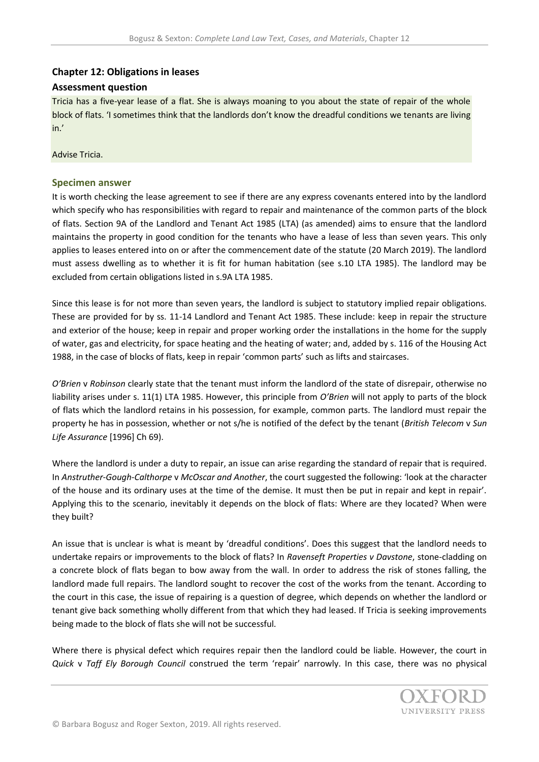## **Chapter 12: Obligations in leases**

## **Assessment question**

Tricia has a five-year lease of a flat. She is always moaning to you about the state of repair of the whole block of flats. 'I sometimes think that the landlords don't know the dreadful conditions we tenants are living in.'

Advise Tricia.

## **Specimen answer**

It is worth checking the lease agreement to see if there are any express covenants entered into by the landlord which specify who has responsibilities with regard to repair and maintenance of the common parts of the block of flats. Section 9A of the Landlord and Tenant Act 1985 (LTA) (as amended) aims to ensure that the landlord maintains the property in good condition for the tenants who have a lease of less than seven years. This only applies to leases entered into on or after the commencement date of the statute (20 March 2019). The landlord must assess dwelling as to whether it is fit for human habitation (see s.10 LTA 1985). The landlord may be excluded from certain obligations listed in s.9A LTA 1985.

Since this lease is for not more than seven years, the landlord is subject to statutory implied repair obligations. These are provided for by ss. 11-14 Landlord and Tenant Act 1985. These include: keep in repair the structure and exterior of the house; keep in repair and proper working order the installations in the home for the supply of water, gas and electricity, for space heating and the heating of water; and, added by s. 116 of the Housing Act 1988, in the case of blocks of flats, keep in repair 'common parts' such as lifts and staircases.

*O'Brien* v *Robinson* clearly state that the tenant must inform the landlord of the state of disrepair, otherwise no liability arises under s. 11(1) LTA 1985. However, this principle from *O'Brien* will not apply to parts of the block of flats which the landlord retains in his possession, for example, common parts. The landlord must repair the property he has in possession, whether or not s/he is notified of the defect by the tenant (*British Telecom* v *Sun Life Assurance* [1996] Ch 69).

Where the landlord is under a duty to repair, an issue can arise regarding the standard of repair that is required. In *Anstruther-Gough-Calthorpe* v *McOscar and Another*, the court suggested the following: 'look at the character of the house and its ordinary uses at the time of the demise. It must then be put in repair and kept in repair'. Applying this to the scenario, inevitably it depends on the block of flats: Where are they located? When were they built?

An issue that is unclear is what is meant by 'dreadful conditions'. Does this suggest that the landlord needs to undertake repairs or improvements to the block of flats? In *Ravenseft Properties v Davstone*, stone-cladding on a concrete block of flats began to bow away from the wall. In order to address the risk of stones falling, the landlord made full repairs. The landlord sought to recover the cost of the works from the tenant. According to the court in this case, the issue of repairing is a question of degree, which depends on whether the landlord or tenant give back something wholly different from that which they had leased. If Tricia is seeking improvements being made to the block of flats she will not be successful.

Where there is physical defect which requires repair then the landlord could be liable. However, the court in *Quick* v *Taff Ely Borough Council* construed the term 'repair' narrowly. In this case, there was no physical